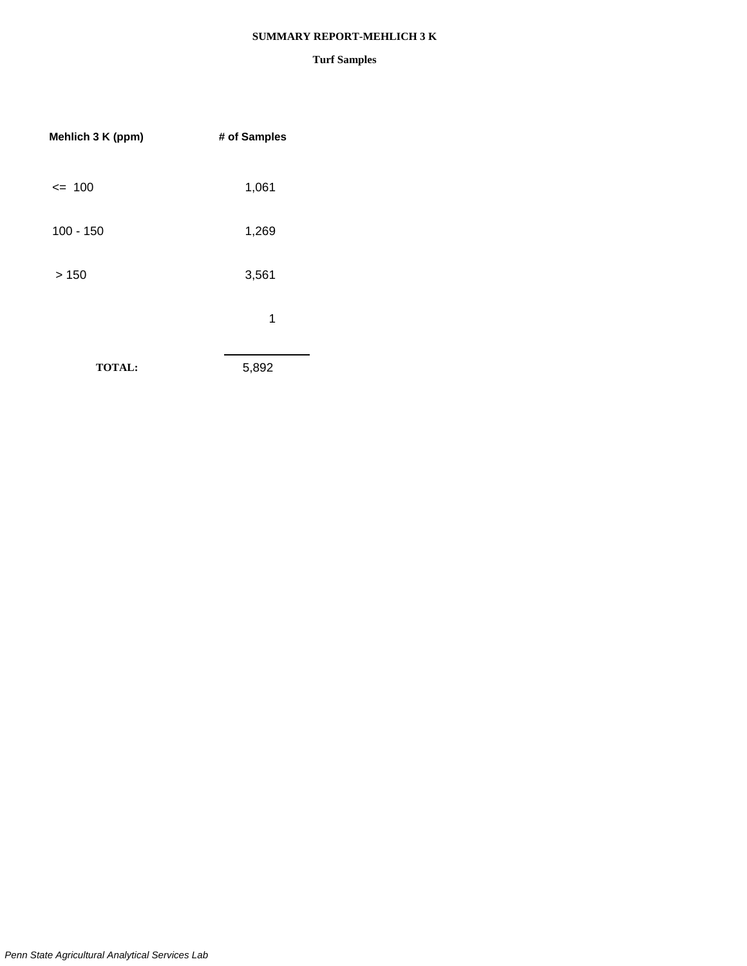### **SUMMARY REPORT-MEHLICH 3 K**

| Mehlich 3 K (ppm) | # of Samples |
|-------------------|--------------|
| $= 100$           | 1,061        |
| $100 - 150$       | 1,269        |
| >150              | 3,561        |
|                   | 1            |
| <b>TOTAL:</b>     | 5,892        |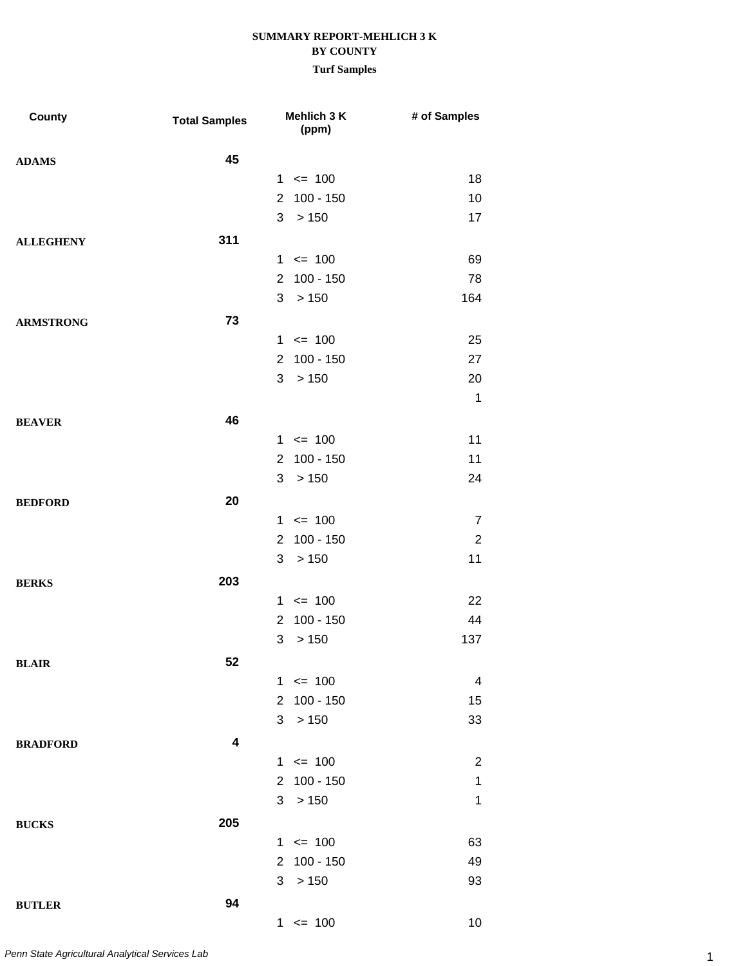| <b>County</b>    | <b>Total Samples</b> |                | Mehlich 3 K<br>(ppm) | # of Samples   |
|------------------|----------------------|----------------|----------------------|----------------|
| <b>ADAMS</b>     | 45                   |                |                      |                |
|                  |                      |                | $1 \le 100$          | 18             |
|                  |                      | $\overline{2}$ | $100 - 150$          | 10             |
|                  |                      | 3              | >150                 | 17             |
| <b>ALLEGHENY</b> | 311                  |                |                      |                |
|                  |                      | 1              | $= 100$              | 69             |
|                  |                      | $\overline{2}$ | 100 - 150            | 78             |
|                  |                      | 3              | > 150                | 164            |
| <b>ARMSTRONG</b> | 73                   |                |                      |                |
|                  |                      | 1              | $\leq$ 100           | 25             |
|                  |                      | 2              | $100 - 150$          | 27             |
|                  |                      | 3              | >150                 | 20             |
|                  |                      |                |                      | $\mathbf{1}$   |
| <b>BEAVER</b>    | 46                   |                |                      |                |
|                  |                      |                | $1 \le 100$          | 11             |
|                  |                      | $\overline{2}$ | $100 - 150$          | 11             |
|                  |                      | 3              | >150                 | 24             |
| <b>BEDFORD</b>   | 20                   |                |                      |                |
|                  |                      | $\mathbf{1}$   | $= 100$              | $\overline{7}$ |
|                  |                      | $\overline{2}$ | $100 - 150$          | $\sqrt{2}$     |
|                  |                      | 3              | > 150                | 11             |
| <b>BERKS</b>     | 203                  |                |                      |                |
|                  |                      | $\mathbf{1}$   | $\leq$ 100           | 22             |
|                  |                      | $\overline{2}$ | $100 - 150$          | 44             |
|                  |                      | 3              | > 150                | 137            |
| <b>BLAIR</b>     | 52                   |                |                      |                |
|                  |                      |                | $1 \le 100$          | 4              |
|                  |                      | $\overline{2}$ | $100 - 150$          | 15             |
|                  |                      | 3              | > 150                | 33             |
| <b>BRADFORD</b>  | 4                    |                |                      |                |
|                  |                      |                | $1 \le 100$          | $\overline{2}$ |
|                  |                      | $\overline{2}$ | $100 - 150$          | $\mathbf 1$    |
|                  |                      |                | 3 > 150              | 1              |
|                  | 205                  |                |                      |                |
| <b>BUCKS</b>     |                      |                | $1 \le 100$          | 63             |
|                  |                      | $\overline{2}$ | $100 - 150$          | 49             |
|                  |                      | 3              | > 150                | 93             |
|                  |                      |                |                      |                |
| <b>BUTLER</b>    | 94                   |                | $1 \le 100$          | 10             |
|                  |                      |                |                      |                |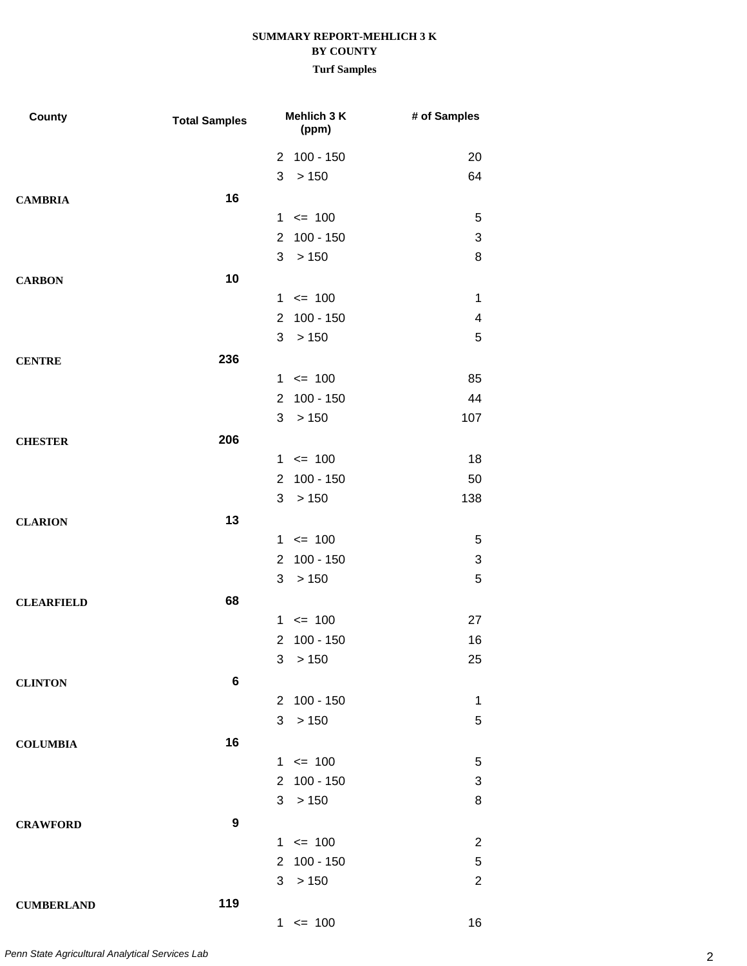| County            | <b>Total Samples</b> | Mehlich 3 K<br>(ppm)          | # of Samples   |
|-------------------|----------------------|-------------------------------|----------------|
|                   |                      | 2 100 - 150                   | 20             |
|                   |                      | 3<br>>150                     | 64             |
| <b>CAMBRIA</b>    | 16                   |                               |                |
|                   |                      | $1 \le 100$                   | 5              |
|                   |                      | $100 - 150$<br>$\overline{2}$ | 3              |
|                   |                      | > 150<br>3                    | 8              |
| <b>CARBON</b>     | 10                   |                               |                |
|                   |                      | $1 \le 100$                   | $\mathbf 1$    |
|                   |                      | $100 - 150$<br>$\overline{2}$ | 4              |
|                   |                      | 3<br>>150                     | 5              |
| <b>CENTRE</b>     | 236                  |                               |                |
|                   |                      | $1 \le 100$                   | 85             |
|                   |                      | $100 - 150$<br>$\overline{2}$ | 44             |
|                   |                      | > 150<br>3                    | 107            |
| <b>CHESTER</b>    | 206                  |                               |                |
|                   |                      | $1 \le 100$                   | 18             |
|                   |                      | $100 - 150$<br>$\overline{2}$ | 50             |
|                   |                      | 3<br>>150                     | 138            |
| <b>CLARION</b>    | 13                   |                               |                |
|                   |                      | $1 \le 100$                   | 5              |
|                   |                      | $100 - 150$<br>$\overline{2}$ | 3              |
|                   |                      | > 150<br>3                    | 5              |
| <b>CLEARFIELD</b> | 68                   |                               |                |
|                   |                      | $1 \le 100$                   | 27             |
|                   |                      | $100 - 150$<br>$\overline{2}$ | 16             |
|                   |                      | 3 > 150                       | 25             |
| <b>CLINTON</b>    | $\bf 6$              |                               |                |
|                   |                      | 2 100 - 150                   | $\mathbf{1}$   |
|                   |                      | 3<br>> 150                    | 5              |
| <b>COLUMBIA</b>   | 16                   |                               |                |
|                   |                      | $1 \le 100$                   | 5              |
|                   |                      | 2 100 - 150                   | 3              |
|                   |                      | 3 <sup>1</sup><br>>150        | 8              |
| <b>CRAWFORD</b>   | 9                    |                               |                |
|                   |                      | $1 \le 100$                   | $\overline{2}$ |
|                   |                      | 2 100 - 150                   | 5              |
|                   |                      | >150<br>3                     | $\overline{2}$ |
| <b>CUMBERLAND</b> | 119                  |                               |                |
|                   |                      | $1 \le 100$                   | 16             |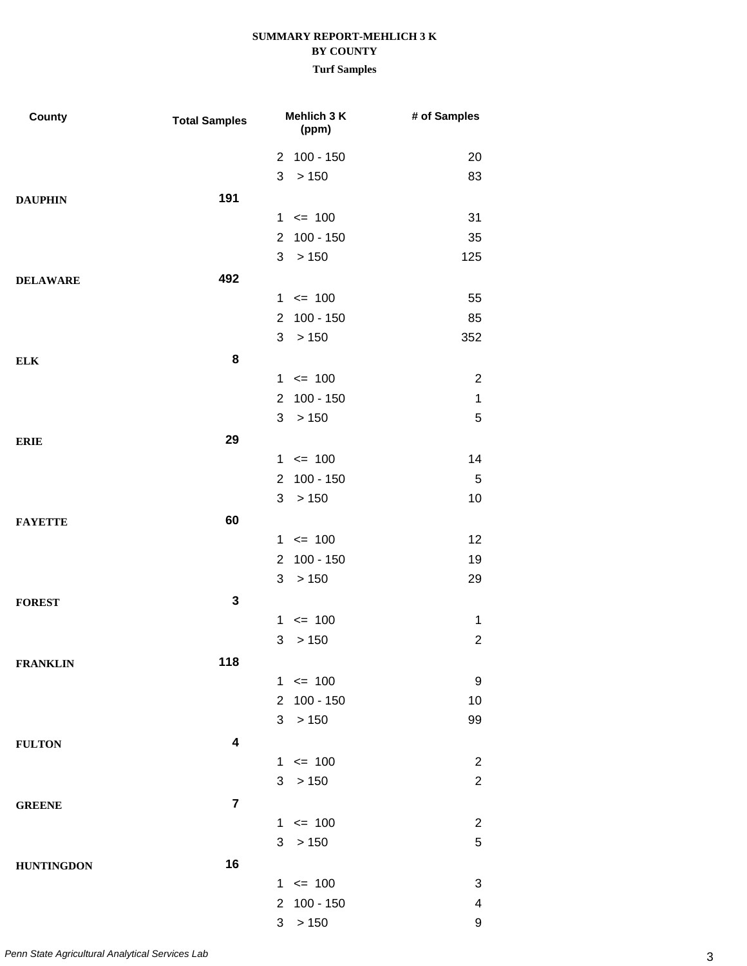| County            | <b>Total Samples</b> |                | Mehlich 3 K<br>(ppm) | # of Samples   |
|-------------------|----------------------|----------------|----------------------|----------------|
|                   |                      |                | 2 100 - 150          | 20             |
|                   |                      | 3              | > 150                | 83             |
| <b>DAUPHIN</b>    | 191                  |                |                      |                |
|                   |                      |                | $1 \le 100$          | 31             |
|                   |                      | 2              | $100 - 150$          | 35             |
|                   |                      | 3              | > 150                | 125            |
| <b>DELAWARE</b>   | 492                  |                |                      |                |
|                   |                      |                | $1 \le 100$          | 55             |
|                   |                      | $\overline{2}$ | $100 - 150$          | 85             |
|                   |                      | 3              | > 150                | 352            |
| <b>ELK</b>        | 8                    |                |                      |                |
|                   |                      |                | $1 \le 100$          | $\overline{2}$ |
|                   |                      | 2              | $100 - 150$          | $\mathbf 1$    |
|                   |                      | 3              | > 150                | 5              |
| <b>ERIE</b>       | 29                   |                |                      |                |
|                   |                      |                | $1 \le 100$          | 14             |
|                   |                      | $\overline{2}$ | $100 - 150$          | 5              |
|                   |                      | 3              | > 150                | 10             |
| <b>FAYETTE</b>    | 60                   |                |                      |                |
|                   |                      |                | $1 \le 100$          | 12             |
|                   |                      | 2              | $100 - 150$          | 19             |
|                   |                      | 3              | > 150                | 29             |
| <b>FOREST</b>     | 3                    |                |                      |                |
|                   |                      | $\mathbf{1}$   | $\leq$ 100           | $\mathbf 1$    |
|                   |                      | 3              | > 150                | $\overline{2}$ |
| <b>FRANKLIN</b>   | 118                  |                |                      |                |
|                   |                      |                | $1 \le 100$          | 9              |
|                   |                      | $\overline{2}$ | $100 - 150$          | 10             |
|                   |                      | 3              | > 150                | 99             |
| <b>FULTON</b>     | 4                    |                |                      |                |
|                   |                      |                | $1 \le 100$          | $\overline{2}$ |
|                   |                      |                | 3 > 150              | $\overline{2}$ |
| <b>GREENE</b>     | $\overline{7}$       |                |                      |                |
|                   |                      |                | $1 \le 100$          | $\overline{c}$ |
|                   |                      | 3              | >150                 | $\mathbf 5$    |
| <b>HUNTINGDON</b> | 16                   |                |                      |                |
|                   |                      |                | $1 \le 100$          | 3              |
|                   |                      | $\overline{2}$ | $100 - 150$          | 4              |
|                   |                      | 3              | >150                 | 9              |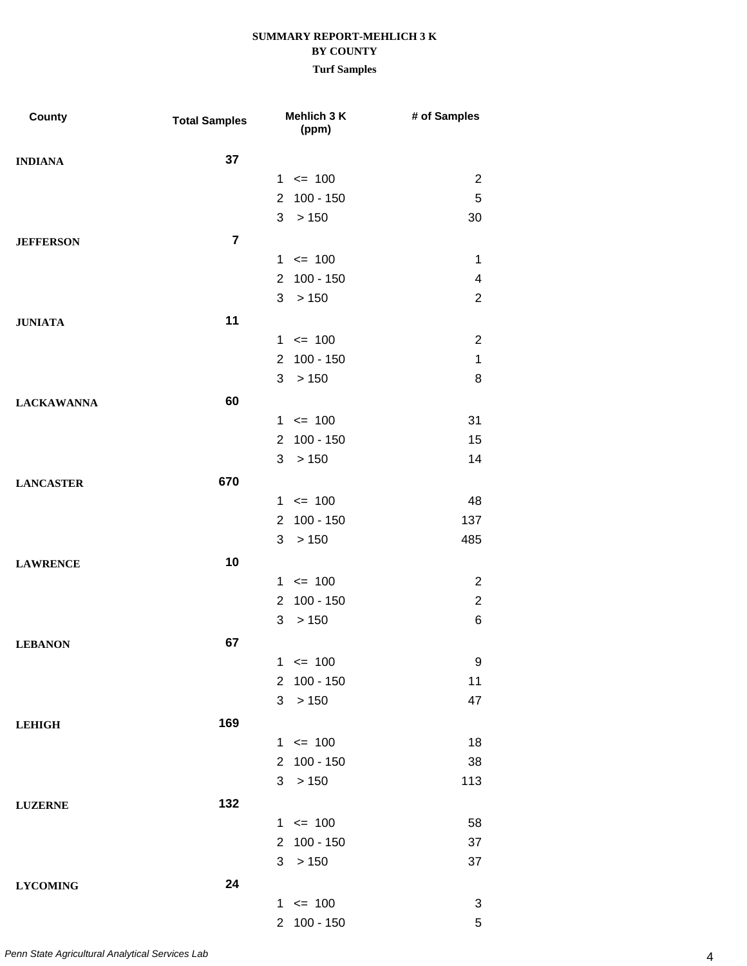| County            | <b>Total Samples</b> | Mehlich 3 K<br>(ppm)          | # of Samples   |
|-------------------|----------------------|-------------------------------|----------------|
| <b>INDIANA</b>    | 37                   |                               |                |
|                   |                      | $1 \le 100$                   | $\overline{2}$ |
|                   |                      | $100 - 150$<br>$\overline{2}$ | $\sqrt{5}$     |
|                   |                      | 3<br>>150                     | 30             |
| <b>JEFFERSON</b>  | $\overline{7}$       |                               |                |
|                   |                      | $1 \le 100$                   | 1              |
|                   |                      | 2 100 - 150                   | 4              |
|                   |                      | 3<br>>150                     | $\overline{2}$ |
| <b>JUNIATA</b>    | 11                   |                               |                |
|                   |                      | $1 \le 100$                   | $\overline{2}$ |
|                   |                      | $100 - 150$<br>$\overline{2}$ | $\mathbf{1}$   |
|                   |                      | 3<br>>150                     | 8              |
| <b>LACKAWANNA</b> | 60                   |                               |                |
|                   |                      | $1 \le 100$                   | 31             |
|                   |                      | 2 100 - 150                   | 15             |
|                   |                      | 3<br>>150                     | 14             |
| <b>LANCASTER</b>  | 670                  |                               |                |
|                   |                      | $1 \le 100$                   | 48             |
|                   |                      | $100 - 150$<br>$\overline{2}$ | 137            |
|                   |                      | 3<br>>150                     | 485            |
| <b>LAWRENCE</b>   | 10                   |                               |                |
|                   |                      | $1 \le 100$                   | $\overline{2}$ |
|                   |                      | $100 - 150$<br>$\overline{2}$ | $\overline{2}$ |
|                   |                      | 3<br>> 150                    | 6              |
| <b>LEBANON</b>    | 67                   |                               |                |
|                   |                      | $= 100$<br>1                  | 9              |
|                   |                      | 2 100 - 150                   | 11             |
|                   |                      | 3<br>>150                     | 47             |
| <b>LEHIGH</b>     | 169                  |                               |                |
|                   |                      | $1 \le 100$                   | 18             |
|                   |                      | 2 100 - 150                   | 38             |
|                   |                      | 3<br>> 150                    | 113            |
| <b>LUZERNE</b>    | 132                  |                               |                |
|                   |                      | $1 \le 100$                   | 58             |
|                   |                      | 2 100 - 150                   | 37             |
|                   |                      | $>150$<br>3                   | 37             |
| <b>LYCOMING</b>   | 24                   |                               |                |
|                   |                      | $1 \le 100$                   | 3              |
|                   |                      | 2 100 - 150                   | $\sqrt{5}$     |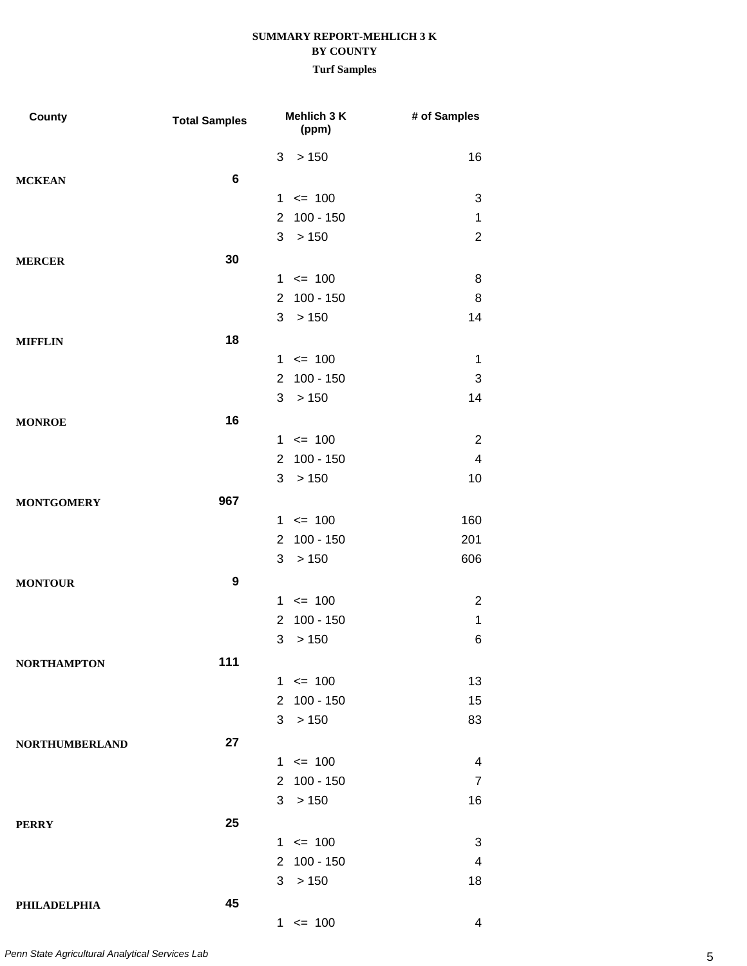| County                | <b>Total Samples</b> |                | Mehlich 3 K<br>(ppm) | # of Samples            |
|-----------------------|----------------------|----------------|----------------------|-------------------------|
|                       |                      | 3              | > 150                | 16                      |
| <b>MCKEAN</b>         | 6                    |                |                      |                         |
|                       |                      | $\mathbf{1}$   | $= 100$              | 3                       |
|                       |                      | $\overline{2}$ | $100 - 150$          | $\mathbf 1$             |
|                       |                      | 3              | > 150                | $\overline{2}$          |
| <b>MERCER</b>         | 30                   |                |                      |                         |
|                       |                      |                | $1 \le 100$          | 8                       |
|                       |                      | $\overline{2}$ | $100 - 150$          | 8                       |
|                       |                      | 3              | > 150                | 14                      |
| <b>MIFFLIN</b>        | 18                   |                |                      |                         |
|                       |                      | 1              | $= 100$              | 1                       |
|                       |                      | $\overline{2}$ | $100 - 150$          | 3                       |
|                       |                      | 3              | > 150                | 14                      |
| <b>MONROE</b>         | 16                   |                |                      |                         |
|                       |                      |                | $1 \le 100$          | $\overline{2}$          |
|                       |                      | $\overline{2}$ | $100 - 150$          | $\overline{\mathbf{4}}$ |
|                       |                      | 3              | > 150                | 10                      |
| <b>MONTGOMERY</b>     | 967                  |                |                      |                         |
|                       |                      | 1              | $= 100$              | 160                     |
|                       |                      | $\overline{2}$ | $100 - 150$          | 201                     |
|                       |                      | 3              | > 150                | 606                     |
| <b>MONTOUR</b>        | 9                    |                |                      |                         |
|                       |                      |                | $1 \le 100$          | $\overline{2}$          |
|                       |                      | 2              | $100 - 150$          | $\mathbf 1$             |
|                       |                      | 3              | > 150                | 6                       |
| <b>NORTHAMPTON</b>    | 111                  |                |                      |                         |
|                       |                      |                | $1 \le 100$          | 13                      |
|                       |                      | $\overline{2}$ | $100 - 150$          | 15                      |
|                       |                      | 3              | >150                 | 83                      |
| <b>NORTHUMBERLAND</b> | 27                   |                |                      |                         |
|                       |                      |                | $1 \le 100$          | 4                       |
|                       |                      |                | 2 100 - 150          | $\overline{7}$          |
|                       |                      | 3              | >150                 | 16                      |
| <b>PERRY</b>          | 25                   |                |                      |                         |
|                       |                      |                | $1 \le 100$          | 3                       |
|                       |                      | $\overline{2}$ | $100 - 150$          | 4                       |
|                       |                      | 3              | > 150                | 18                      |
| PHILADELPHIA          | 45                   |                |                      |                         |
|                       |                      |                | $1 \le 100$          | 4                       |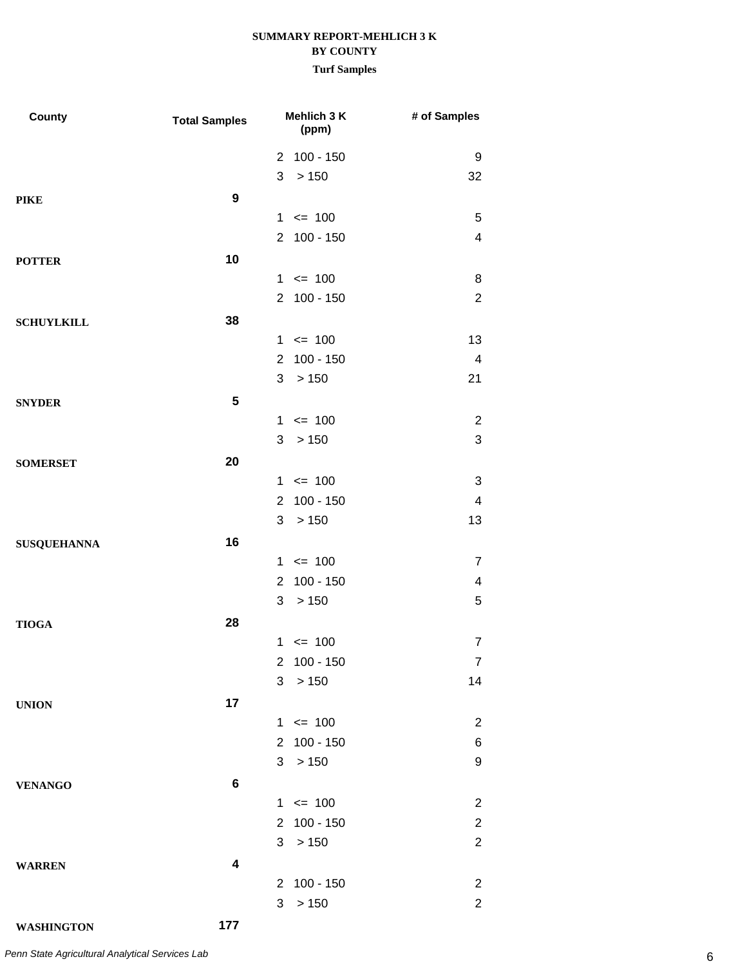| County             | <b>Total Samples</b> | Mehlich 3 K<br>(ppm)          | # of Samples            |
|--------------------|----------------------|-------------------------------|-------------------------|
|                    |                      | 2 100 - 150                   | 9                       |
|                    |                      | > 150<br>3                    | 32                      |
| <b>PIKE</b>        | $\boldsymbol{9}$     |                               |                         |
|                    |                      | $1 \le 100$                   | 5                       |
|                    |                      | 2 100 - 150                   | $\overline{\mathbf{4}}$ |
| <b>POTTER</b>      | 10                   |                               |                         |
|                    |                      | $1 \le 100$                   | 8                       |
|                    |                      | 2 100 - 150                   | $\overline{2}$          |
| <b>SCHUYLKILL</b>  | 38                   |                               |                         |
|                    |                      | $1 \le 100$                   | 13                      |
|                    |                      | $100 - 150$<br>$\overline{2}$ | 4                       |
|                    |                      | 3<br>> 150                    | 21                      |
| <b>SNYDER</b>      | 5                    |                               |                         |
|                    |                      | $1 \le 100$                   | 2                       |
|                    |                      | 3 > 150                       | 3                       |
| <b>SOMERSET</b>    | 20                   |                               |                         |
|                    |                      | $1 \le 100$                   | 3                       |
|                    |                      | $100 - 150$<br>$\overline{2}$ | 4                       |
|                    |                      | >150<br>3                     | 13                      |
| <b>SUSQUEHANNA</b> | 16                   |                               |                         |
|                    |                      | $1 \le 100$                   | 7                       |
|                    |                      | $100 - 150$<br>$\overline{2}$ | 4                       |
|                    |                      | >150<br>3                     | 5                       |
| <b>TIOGA</b>       | 28                   |                               |                         |
|                    |                      | $1 \le 100$                   | $\overline{7}$          |
|                    |                      | $100 - 150$<br>$\overline{2}$ | $\overline{7}$          |
|                    |                      | 3<br>>150                     | 14                      |
| <b>UNION</b>       | 17                   |                               |                         |
|                    |                      | $1 \le 100$                   | $\overline{2}$          |
|                    |                      | 2 100 - 150                   | 6                       |
|                    |                      | >150<br>3                     | 9                       |
| <b>VENANGO</b>     | $\bf 6$              |                               |                         |
|                    |                      | $1 \le 100$                   | $\overline{2}$          |
|                    |                      | 2 100 - 150                   | $\overline{2}$          |
|                    |                      | 3 > 150                       | $\overline{2}$          |
| <b>WARREN</b>      | 4                    |                               |                         |
|                    |                      | 2 100 - 150                   | $\overline{2}$          |
|                    |                      | 3<br>>150                     | $\overline{2}$          |
| <b>WASHINGTON</b>  | 177                  |                               |                         |